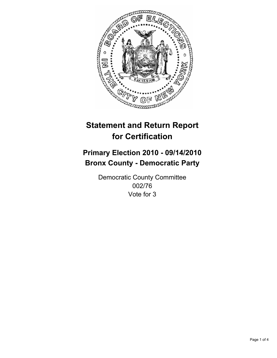

## **Primary Election 2010 - 09/14/2010 Bronx County - Democratic Party**

Democratic County Committee 002/76 Vote for 3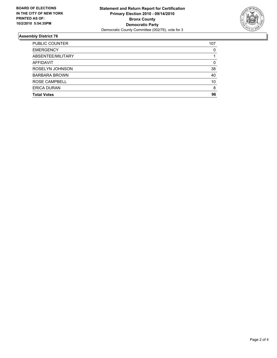

| PUBLIC COUNTER       | 107 |
|----------------------|-----|
| <b>EMERGENCY</b>     | 0   |
| ABSENTEE/MILITARY    |     |
| <b>AFFIDAVIT</b>     | 0   |
| ROSELYN JOHNSON      | 38  |
| <b>BARBARA BROWN</b> | 40  |
| ROSE CAMPBELL        | 10  |
| <b>ERICA DURAN</b>   | 8   |
| <b>Total Votes</b>   | 96  |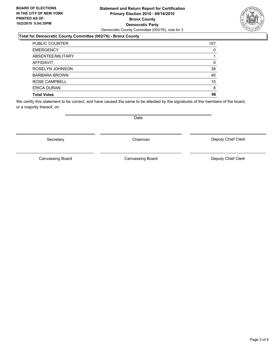### **Statement and Return Report for Certification Primary Election 2010 - 09/14/2010 Bronx County Democratic Party** Democratic County Committee (002/76), vote for 3

### **Total for Democratic County Committee (002/76) - Bronx County**

| PUBLIC COUNTER       | 107 |
|----------------------|-----|
| <b>EMERGENCY</b>     | 0   |
| ABSENTEE/MILITARY    |     |
| <b>AFFIDAVIT</b>     | 0   |
| ROSELYN JOHNSON      | 38  |
| <b>BARBARA BROWN</b> | 40  |
| ROSE CAMPBELL        | 10  |
| <b>ERICA DURAN</b>   | 8   |
| <b>Total Votes</b>   | 96  |

We certify this statement to be correct, and have caused the same to be attested by the signatures of the members of the board, or a majority thereof, on

Date

Secretary **Chairman** 

Canvassing Board

Deputy Chief Clerk

Canvassing Board **Canvassing Board** Canvassing Board **Deputy Chief Clerk** 

Page 3 of 4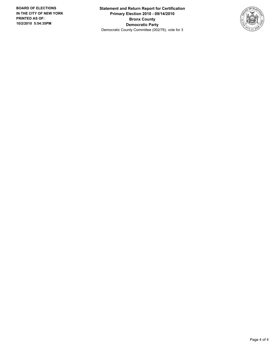**Statement and Return Report for Certification Primary Election 2010 - 09/14/2010 Bronx County Democratic Party** Democratic County Committee (002/76), vote for 3

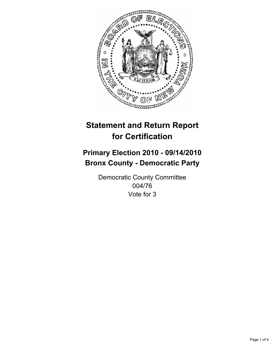

## **Primary Election 2010 - 09/14/2010 Bronx County - Democratic Party**

Democratic County Committee 004/76 Vote for 3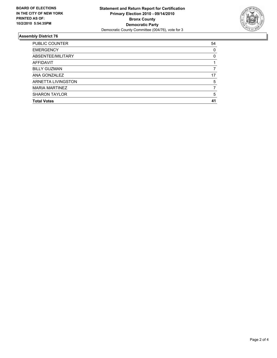

| PUBLIC COUNTER        | 54 |
|-----------------------|----|
| <b>EMERGENCY</b>      | 0  |
| ABSENTEE/MILITARY     | 0  |
| AFFIDAVIT             |    |
| <b>BILLY GUZMAN</b>   |    |
| ANA GONZALEZ          | 17 |
| ARNETTA LIVINGSTON    | 5  |
| <b>MARIA MARTINEZ</b> |    |
| <b>SHARON TAYLOR</b>  | 5  |
| <b>Total Votes</b>    | 41 |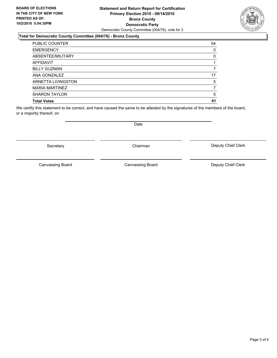### **Statement and Return Report for Certification Primary Election 2010 - 09/14/2010 Bronx County Democratic Party** Democratic County Committee (004/76), vote for 3

### **Total for Democratic County Committee (004/76) - Bronx County**

| PUBLIC COUNTER        | 54 |
|-----------------------|----|
| <b>EMERGENCY</b>      | 0  |
| ABSENTEE/MILITARY     | 0  |
| <b>AFFIDAVIT</b>      |    |
| <b>BILLY GUZMAN</b>   |    |
| ANA GONZALEZ          | 17 |
| ARNETTA LIVINGSTON    | 5  |
| <b>MARIA MARTINEZ</b> |    |
| <b>SHARON TAYLOR</b>  | 5  |
| <b>Total Votes</b>    | 41 |

We certify this statement to be correct, and have caused the same to be attested by the signatures of the members of the board, or a majority thereof, on

Canvassing Board **Canvassing Board** Canvassing Board **Deputy Chief Clerk** 

Canvassing Board

Deputy Chief Clerk

Secretary **Chairman** 

Date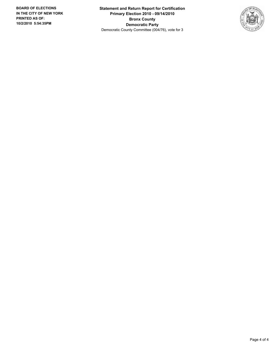**Statement and Return Report for Certification Primary Election 2010 - 09/14/2010 Bronx County Democratic Party** Democratic County Committee (004/76), vote for 3

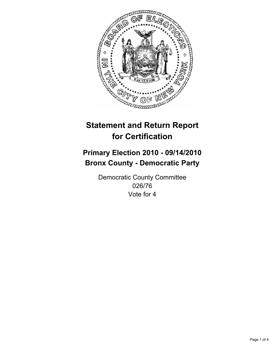

## **Primary Election 2010 - 09/14/2010 Bronx County - Democratic Party**

Democratic County Committee 026/76 Vote for 4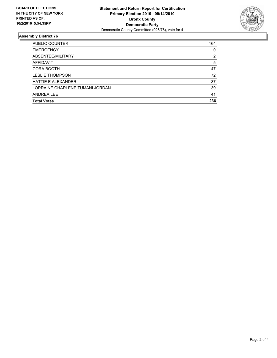

| PUBLIC COUNTER                  | 164 |
|---------------------------------|-----|
| <b>EMERGENCY</b>                | 0   |
| ABSENTEE/MILITARY               | 2   |
| AFFIDAVIT                       | 5   |
| CORA BOOTH                      | 47  |
| <b>LESLIE THOMPSON</b>          | 72  |
| <b>HATTIF F AI FXANDER</b>      | 37  |
| LORRAINE CHARLENE TUMANI JORDAN | 39  |
| <b>ANDREA LEE</b>               | 41  |
| <b>Total Votes</b>              | 236 |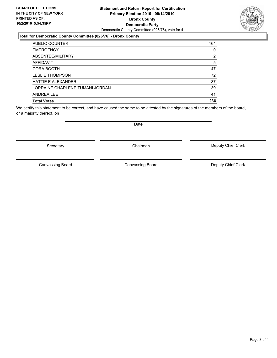### **Statement and Return Report for Certification Primary Election 2010 - 09/14/2010 Bronx County Democratic Party** Democratic County Committee (026/76), vote for 4

### **Total for Democratic County Committee (026/76) - Bronx County**

| <b>PUBLIC COUNTER</b>           | 164 |
|---------------------------------|-----|
| <b>EMERGENCY</b>                | 0   |
| ABSENTEE/MILITARY               | 2   |
| AFFIDAVIT                       | 5   |
| CORA BOOTH                      | 47  |
| <b>LESLIE THOMPSON</b>          | 72  |
| <b>HATTIE E ALEXANDER</b>       | 37  |
| LORRAINE CHARLENE TUMANI JORDAN | 39  |
| ANDREA LEE                      | 41  |
| <b>Total Votes</b>              | 236 |

We certify this statement to be correct, and have caused the same to be attested by the signatures of the members of the board, or a majority thereof, on

Canvassing Board **Canvassing Board** Canvassing Board **Deputy Chief Clerk** 

Canvassing Board

Deputy Chief Clerk

Secretary **Chairman** 

Date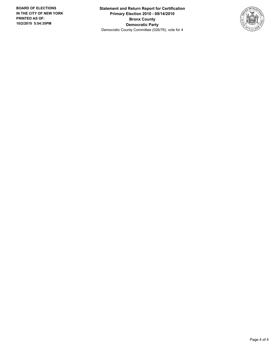**Statement and Return Report for Certification Primary Election 2010 - 09/14/2010 Bronx County Democratic Party** Democratic County Committee (026/76), vote for 4

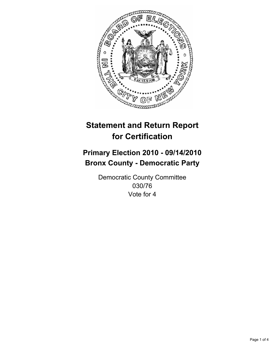

## **Primary Election 2010 - 09/14/2010 Bronx County - Democratic Party**

Democratic County Committee 030/76 Vote for 4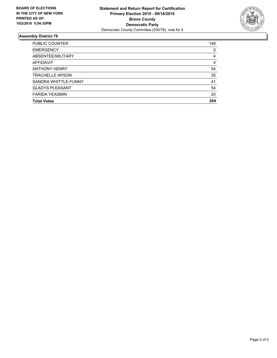

| 149 |
|-----|
| 0   |
| 4   |
| 4   |
| 54  |
| 35  |
| 41  |
| 54  |
| 20  |
| 204 |
|     |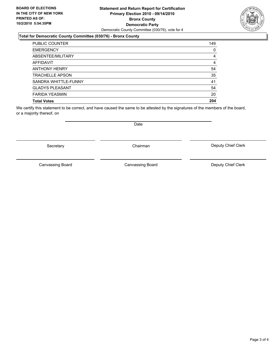### **Statement and Return Report for Certification Primary Election 2010 - 09/14/2010 Bronx County Democratic Party** Democratic County Committee (030/76), vote for 4

### **Total for Democratic County Committee (030/76) - Bronx County**

| PUBLIC COUNTER         | 149 |
|------------------------|-----|
| <b>EMERGENCY</b>       | 0   |
| ABSENTEE/MILITARY      | 4   |
| <b>AFFIDAVIT</b>       | 4   |
| <b>ANTHONY HENRY</b>   | 54  |
| <b>TRACHELLE APSON</b> | 35  |
| SANDRA WHITTLE-FUNNY   | 41  |
| <b>GLADYS PLEASANT</b> | 54  |
| <b>FARIDA YEASMIN</b>  | 20  |
| <b>Total Votes</b>     | 204 |

We certify this statement to be correct, and have caused the same to be attested by the signatures of the members of the board, or a majority thereof, on

Secretary **Chairman** 

Canvassing Board **Canvassing Board** Canvassing Board **Deputy Chief Clerk** 

Canvassing Board

Deputy Chief Clerk



Date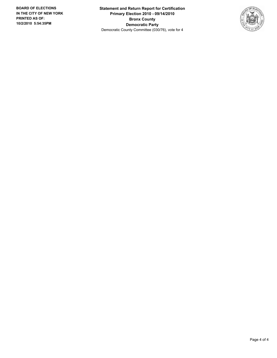**Statement and Return Report for Certification Primary Election 2010 - 09/14/2010 Bronx County Democratic Party** Democratic County Committee (030/76), vote for 4

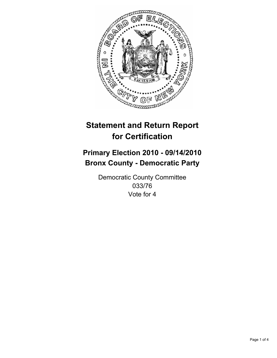

## **Primary Election 2010 - 09/14/2010 Bronx County - Democratic Party**

Democratic County Committee 033/76 Vote for 4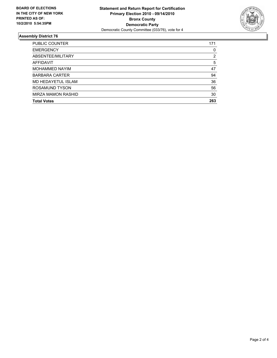

| PUBLIC COUNTER            | 171 |
|---------------------------|-----|
| <b>EMERGENCY</b>          | 0   |
| ABSENTEE/MILITARY         | 2   |
| AFFIDAVIT                 | 5   |
| <b>MOHAMMED NAYIM</b>     | 47  |
| <b>BARBARA CARTER</b>     | 94  |
| MD HEDAYETUL ISLAM        | 36  |
| ROSAMUND TYSON            | 56  |
| <b>MIRZA MAMON RASHID</b> | 30  |
| <b>Total Votes</b>        | 263 |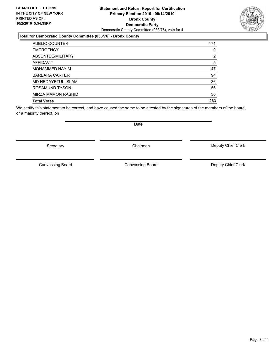### **Statement and Return Report for Certification Primary Election 2010 - 09/14/2010 Bronx County Democratic Party** Democratic County Committee (033/76), vote for 4

### **Total for Democratic County Committee (033/76) - Bronx County**

| PUBLIC COUNTER            | 171 |
|---------------------------|-----|
| <b>EMERGENCY</b>          | 0   |
| ABSENTEE/MILITARY         | 2   |
| <b>AFFIDAVIT</b>          | 5   |
| <b>MOHAMMED NAYIM</b>     | 47  |
| <b>BARBARA CARTER</b>     | 94  |
| <b>MD HEDAYETUL ISLAM</b> | 36  |
| ROSAMUND TYSON            | 56  |
| <b>MIRZA MAMON RASHID</b> | 30  |
| <b>Total Votes</b>        | 263 |

We certify this statement to be correct, and have caused the same to be attested by the signatures of the members of the board, or a majority thereof, on

Secretary **Chairman** 

Canvassing Board **Canvassing Board** Canvassing Board **Deputy Chief Clerk** 

Canvassing Board

Deputy Chief Clerk



Date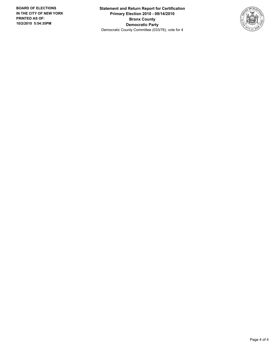**Statement and Return Report for Certification Primary Election 2010 - 09/14/2010 Bronx County Democratic Party** Democratic County Committee (033/76), vote for 4

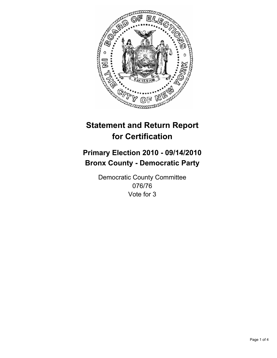

## **Primary Election 2010 - 09/14/2010 Bronx County - Democratic Party**

Democratic County Committee 076/76 Vote for 3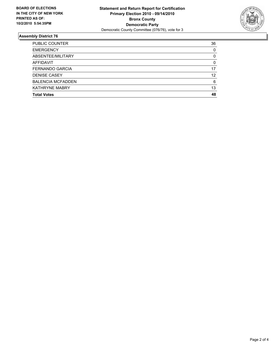

| PUBLIC COUNTER           | 36 |
|--------------------------|----|
| <b>EMERGENCY</b>         | 0  |
| ABSENTEE/MILITARY        | 0  |
| <b>AFFIDAVIT</b>         | 0  |
| FERNANDO GARCIA          | 17 |
| <b>DENISE CASEY</b>      | 12 |
| <b>BALENCIA MCFADDEN</b> | 6  |
| <b>KATHRYNE MABRY</b>    | 13 |
| <b>Total Votes</b>       | 48 |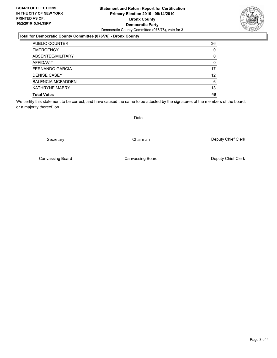### **Statement and Return Report for Certification Primary Election 2010 - 09/14/2010 Bronx County Democratic Party** Democratic County Committee (076/76), vote for 3

### **Total for Democratic County Committee (076/76) - Bronx County**

| PUBLIC COUNTER           | 36 |
|--------------------------|----|
| <b>EMERGENCY</b>         | 0  |
| ABSENTEE/MILITARY        | 0  |
| <b>AFFIDAVIT</b>         | 0  |
| <b>FERNANDO GARCIA</b>   | 17 |
| <b>DENISE CASEY</b>      | 12 |
| <b>BALENCIA MCFADDEN</b> | 6  |
| <b>KATHRYNE MABRY</b>    | 13 |
| <b>Total Votes</b>       | 48 |

We certify this statement to be correct, and have caused the same to be attested by the signatures of the members of the board, or a majority thereof, on

Secretary **Chairman** 

Date

Canvassing Board

Deputy Chief Clerk

Canvassing Board **Canvassing Board** Canvassing Board **Deputy Chief Clerk** 



Page 3 of 4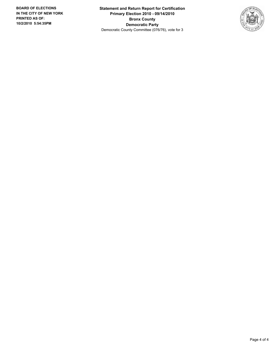**Statement and Return Report for Certification Primary Election 2010 - 09/14/2010 Bronx County Democratic Party** Democratic County Committee (076/76), vote for 3

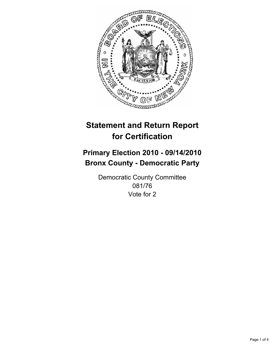

## **Primary Election 2010 - 09/14/2010 Bronx County - Democratic Party**

Democratic County Committee 081/76 Vote for 2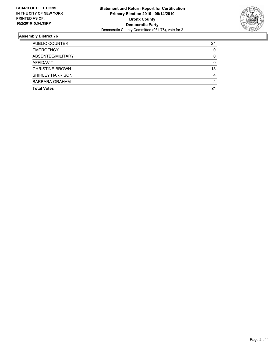

| <b>Total Votes</b>      | 21 |
|-------------------------|----|
| <b>BARBARA GRAHAM</b>   | 4  |
| <b>SHIRLEY HARRISON</b> | 4  |
| <b>CHRISTINE BROWN</b>  | 13 |
| AFFIDAVIT               | 0  |
| ABSENTEE/MILITARY       | 0  |
| <b>EMERGENCY</b>        | 0  |
| PUBLIC COUNTER          | 24 |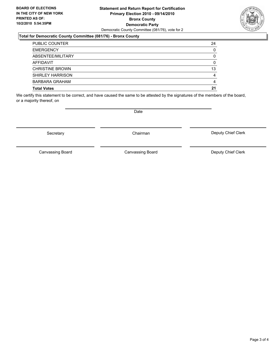### **Statement and Return Report for Certification Primary Election 2010 - 09/14/2010 Bronx County Democratic Party** Democratic County Committee (081/76), vote for 2

### **Total for Democratic County Committee (081/76) - Bronx County**

| <b>PUBLIC COUNTER</b>   | 24       |
|-------------------------|----------|
| <b>EMERGENCY</b>        | $\Omega$ |
| ABSENTEE/MILITARY       | 0        |
| <b>AFFIDAVIT</b>        | 0        |
| <b>CHRISTINE BROWN</b>  | 13       |
| <b>SHIRLEY HARRISON</b> | 4        |
| BARBARA GRAHAM          | 4        |
| <b>Total Votes</b>      | 21       |

We certify this statement to be correct, and have caused the same to be attested by the signatures of the members of the board, or a majority thereof, on

**Date** 

Secretary **Chairman** 

Canvassing Board Canvassing Board Canvassing Canvassing Board Deputy Chief Clerk

Deputy Chief Clerk

Canvassing Board

Page 3 of 4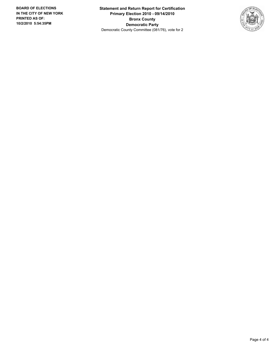**Statement and Return Report for Certification Primary Election 2010 - 09/14/2010 Bronx County Democratic Party** Democratic County Committee (081/76), vote for 2

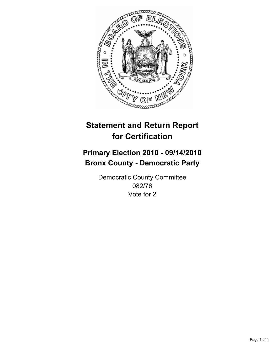

## **Primary Election 2010 - 09/14/2010 Bronx County - Democratic Party**

Democratic County Committee 082/76 Vote for 2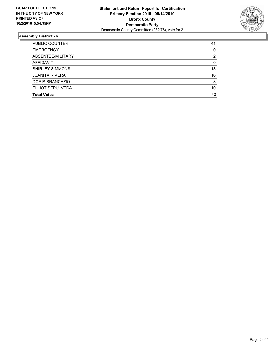

| PUBLIC COUNTER         | 41             |
|------------------------|----------------|
| <b>EMERGENCY</b>       | 0              |
| ABSENTEE/MILITARY      | $\overline{2}$ |
| <b>AFFIDAVIT</b>       | 0              |
| <b>SHIRLEY SIMMONS</b> | 13             |
| <b>JUANITA RIVERA</b>  | 16             |
| DORIS BRANCAZIO        | 3              |
| ELLIOT SEPULVEDA       | 10             |
| <b>Total Votes</b>     | 42             |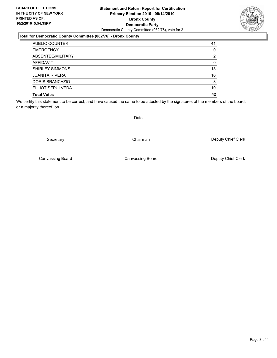### **Statement and Return Report for Certification Primary Election 2010 - 09/14/2010 Bronx County Democratic Party** Democratic County Committee (082/76), vote for 2

### **Total for Democratic County Committee (082/76) - Bronx County**

| PUBLIC COUNTER         | 41 |
|------------------------|----|
| <b>EMERGENCY</b>       | 0  |
| ABSENTEE/MILITARY      | 2  |
| <b>AFFIDAVIT</b>       | 0  |
| <b>SHIRLEY SIMMONS</b> | 13 |
| <b>JUANITA RIVERA</b>  | 16 |
| DORIS BRANCAZIO        | 3  |
| ELLIOT SEPULVEDA       | 10 |
| <b>Total Votes</b>     | 42 |

We certify this statement to be correct, and have caused the same to be attested by the signatures of the members of the board, or a majority thereof, on

Secretary **Chairman** 

Date

Deputy Chief Clerk

Canvassing Board Canvassing Board **Canvassing Board** Canvassing Board **Deputy Chief Clerk** 

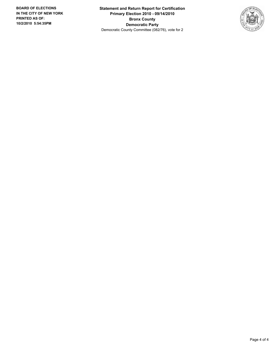**Statement and Return Report for Certification Primary Election 2010 - 09/14/2010 Bronx County Democratic Party** Democratic County Committee (082/76), vote for 2

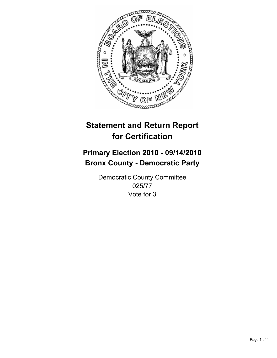

## **Primary Election 2010 - 09/14/2010 Bronx County - Democratic Party**

Democratic County Committee 025/77 Vote for 3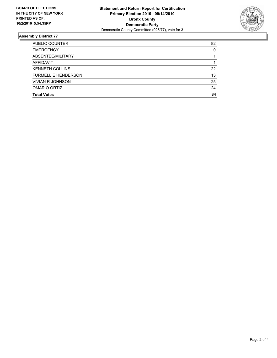

| <b>PUBLIC COUNTER</b>      | 82 |
|----------------------------|----|
| <b>EMERGENCY</b>           | 0  |
| ABSENTEE/MILITARY          |    |
| <b>AFFIDAVIT</b>           |    |
| <b>KENNETH COLLINS</b>     | 22 |
| <b>FURMELL E HENDERSON</b> | 13 |
| <b>VIVIAN R JOHNSON</b>    | 25 |
| OMAR O ORTIZ               | 24 |
| <b>Total Votes</b>         | 84 |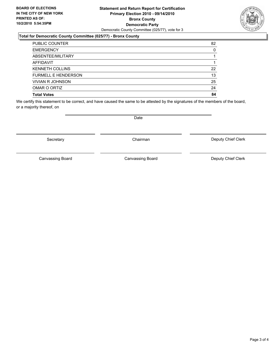### **Statement and Return Report for Certification Primary Election 2010 - 09/14/2010 Bronx County Democratic Party** Democratic County Committee (025/77), vote for 3

### **Total for Democratic County Committee (025/77) - Bronx County**

| <b>PUBLIC COUNTER</b>      | 82 |
|----------------------------|----|
| <b>EMERGENCY</b>           | 0  |
| ABSENTEE/MILITARY          |    |
| <b>AFFIDAVIT</b>           |    |
| <b>KENNETH COLLINS</b>     | 22 |
| <b>FURMELL E HENDERSON</b> | 13 |
| <b>VIVIAN R JOHNSON</b>    | 25 |
| OMAR O ORTIZ               | 24 |
| <b>Total Votes</b>         | 84 |

We certify this statement to be correct, and have caused the same to be attested by the signatures of the members of the board, or a majority thereof, on

Canvassing Board

Date

Deputy Chief Clerk



Secretary **Chairman** 

Canvassing Board **Canvassing Board** Canvassing Board **Deputy Chief Clerk** 

Page 3 of 4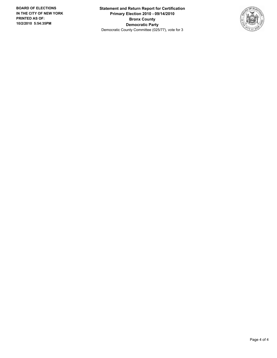**Statement and Return Report for Certification Primary Election 2010 - 09/14/2010 Bronx County Democratic Party** Democratic County Committee (025/77), vote for 3

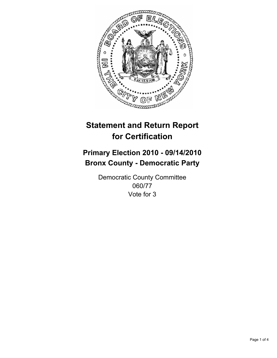

## **Primary Election 2010 - 09/14/2010 Bronx County - Democratic Party**

Democratic County Committee 060/77 Vote for 3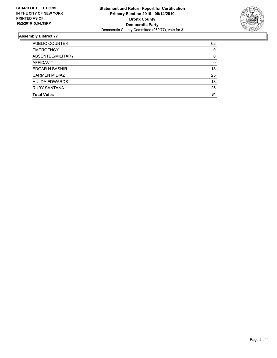

| <b>PUBLIC COUNTER</b> | 62 |
|-----------------------|----|
| <b>EMERGENCY</b>      | 0  |
| ABSENTEE/MILITARY     | 0  |
| <b>AFFIDAVIT</b>      | 0  |
| <b>EDGAR H BASHIR</b> | 18 |
| <b>CARMEN M DIAZ</b>  | 25 |
| <b>HULDA EDWARDS</b>  | 13 |
| <b>RUBY SANTANA</b>   | 25 |
| <b>Total Votes</b>    | 81 |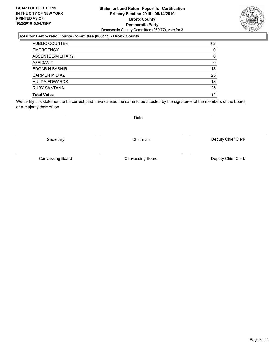### **Statement and Return Report for Certification Primary Election 2010 - 09/14/2010 Bronx County Democratic Party** Democratic County Committee (060/77), vote for 3

### **Total for Democratic County Committee (060/77) - Bronx County**

| <b>PUBLIC COUNTER</b> | 62 |
|-----------------------|----|
| <b>EMERGENCY</b>      | 0  |
| ABSENTEE/MILITARY     | 0  |
| <b>AFFIDAVIT</b>      | 0  |
| EDGAR H BASHIR        | 18 |
| <b>CARMEN M DIAZ</b>  | 25 |
| <b>HULDA EDWARDS</b>  | 13 |
| <b>RUBY SANTANA</b>   | 25 |
| <b>Total Votes</b>    | 81 |

We certify this statement to be correct, and have caused the same to be attested by the signatures of the members of the board, or a majority thereof, on

Secretary **Chairman** 

Deputy Chief Clerk

Canvassing Board

Canvassing Board **Canvassing Board** Canvassing Board **Deputy Chief Clerk** 



Date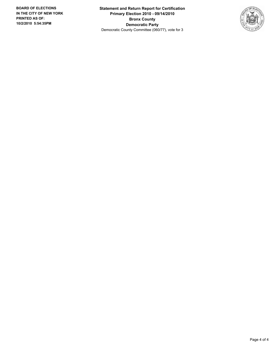**Statement and Return Report for Certification Primary Election 2010 - 09/14/2010 Bronx County Democratic Party** Democratic County Committee (060/77), vote for 3

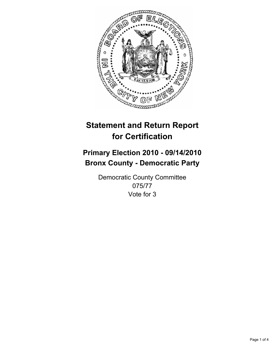

## **Primary Election 2010 - 09/14/2010 Bronx County - Democratic Party**

Democratic County Committee 075/77 Vote for 3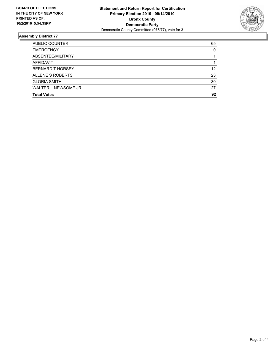

| <b>PUBLIC COUNTER</b>   | 65 |
|-------------------------|----|
| <b>EMERGENCY</b>        | 0  |
| ABSENTEE/MILITARY       |    |
| AFFIDAVIT               |    |
| <b>BERNARD T HORSEY</b> | 12 |
| ALLENE S ROBERTS        | 23 |
| <b>GLORIA SMITH</b>     | 30 |
| WALTER L NEWSOME JR.    | 27 |
| <b>Total Votes</b>      | 92 |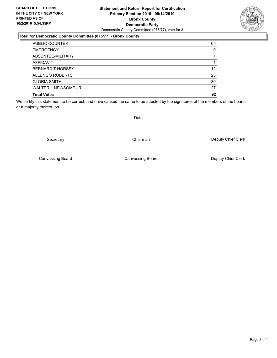### **Statement and Return Report for Certification Primary Election 2010 - 09/14/2010 Bronx County Democratic Party** Democratic County Committee (075/77), vote for 3

### **Total for Democratic County Committee (075/77) - Bronx County**

| <b>PUBLIC COUNTER</b>   | 65 |
|-------------------------|----|
| <b>EMERGENCY</b>        | 0  |
| ABSENTEE/MILITARY       |    |
| AFFIDAVIT               |    |
| <b>BERNARD T HORSEY</b> | 12 |
| ALLENE S ROBERTS        | 23 |
| <b>GLORIA SMITH</b>     | 30 |
| WALTER L NEWSOME JR.    | 27 |
| <b>Total Votes</b>      | 92 |

We certify this statement to be correct, and have caused the same to be attested by the signatures of the members of the board, or a majority thereof, on

Secretary **Chairman** 

Canvassing Board

Canvassing Board **Canvassing Board** Canvassing Board **Deputy Chief Clerk** 

Deputy Chief Clerk



Page 3 of 4

Date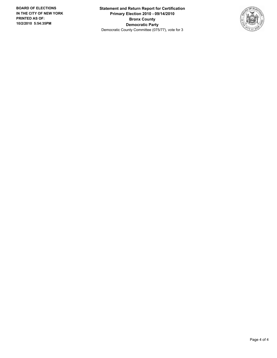**Statement and Return Report for Certification Primary Election 2010 - 09/14/2010 Bronx County Democratic Party** Democratic County Committee (075/77), vote for 3

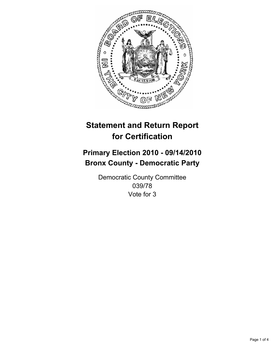

## **Primary Election 2010 - 09/14/2010 Bronx County - Democratic Party**

Democratic County Committee 039/78 Vote for 3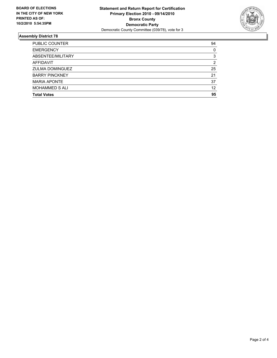

| <b>PUBLIC COUNTER</b>  | 94 |
|------------------------|----|
| <b>EMERGENCY</b>       | 0  |
| ABSENTEE/MILITARY      | 3  |
| <b>AFFIDAVIT</b>       | 2  |
| <b>ZULMA DOMINGUEZ</b> | 25 |
| <b>BARRY PINCKNEY</b>  | 21 |
| <b>MARIA APONTE</b>    | 37 |
| <b>MOHAMMED S ALI</b>  | 12 |
| <b>Total Votes</b>     | 95 |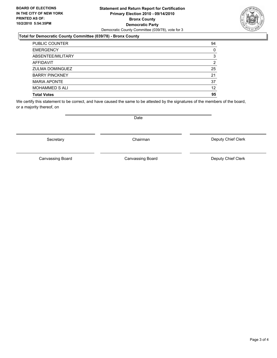### **Statement and Return Report for Certification Primary Election 2010 - 09/14/2010 Bronx County Democratic Party** Democratic County Committee (039/78), vote for 3

### **Total for Democratic County Committee (039/78) - Bronx County**

| <b>PUBLIC COUNTER</b>  | 94<br>0           |
|------------------------|-------------------|
| <b>EMERGENCY</b>       |                   |
| ABSENTEE/MILITARY      | 3                 |
| <b>AFFIDAVIT</b>       | 2                 |
| <b>ZULMA DOMINGUEZ</b> | 25                |
| <b>BARRY PINCKNEY</b>  | 21                |
| <b>MARIA APONTE</b>    | 37                |
| <b>MOHAMMED S ALI</b>  | $12 \overline{ }$ |
| <b>Total Votes</b>     | 95                |

We certify this statement to be correct, and have caused the same to be attested by the signatures of the members of the board, or a majority thereof, on

Secretary **Chairman** 

Canvassing Board

Deputy Chief Clerk

Canvassing Board **Canvassing Board** Canvassing Board **Deputy Chief Clerk** 

Page 3 of 4



Date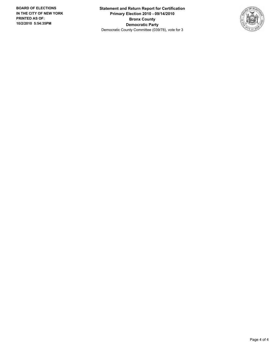**Statement and Return Report for Certification Primary Election 2010 - 09/14/2010 Bronx County Democratic Party** Democratic County Committee (039/78), vote for 3

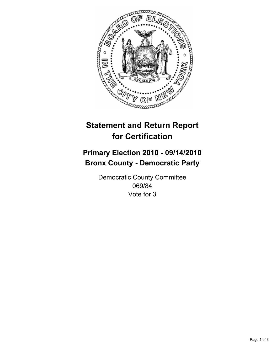

## **Primary Election 2010 - 09/14/2010 Bronx County - Democratic Party**

Democratic County Committee 069/84 Vote for 3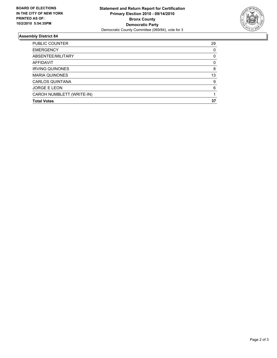

| PUBLIC COUNTER            | 29 |
|---------------------------|----|
| <b>EMERGENCY</b>          | 0  |
| ABSENTEE/MILITARY         | 0  |
| AFFIDAVIT                 | 0  |
| <b>IRVING QUINONES</b>    | 8  |
| <b>MARIA QUINONES</b>     | 13 |
| <b>CARLOS QUINTANA</b>    | 9  |
| <b>JORGE E LEON</b>       | 6  |
| CAROH NUMBLETT (WRITE-IN) |    |
| <b>Total Votes</b>        | 37 |